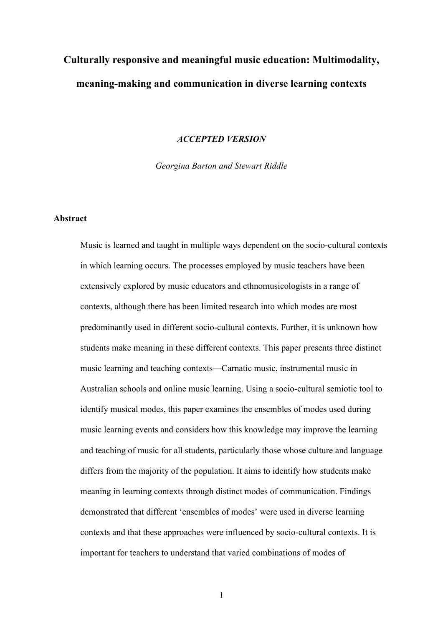# **Culturally responsive and meaningful music education: Multimodality, meaning-making and communication in diverse learning contexts**

#### *ACCEPTED VERSION*

*Georgina Barton and Stewart Riddle*

#### **Abstract**

Music is learned and taught in multiple ways dependent on the socio-cultural contexts in which learning occurs. The processes employed by music teachers have been extensively explored by music educators and ethnomusicologists in a range of contexts, although there has been limited research into which modes are most predominantly used in different socio-cultural contexts. Further, it is unknown how students make meaning in these different contexts. This paper presents three distinct music learning and teaching contexts—Carnatic music, instrumental music in Australian schools and online music learning. Using a socio-cultural semiotic tool to identify musical modes, this paper examines the ensembles of modes used during music learning events and considers how this knowledge may improve the learning and teaching of music for all students, particularly those whose culture and language differs from the majority of the population. It aims to identify how students make meaning in learning contexts through distinct modes of communication. Findings demonstrated that different 'ensembles of modes' were used in diverse learning contexts and that these approaches were influenced by socio-cultural contexts. It is important for teachers to understand that varied combinations of modes of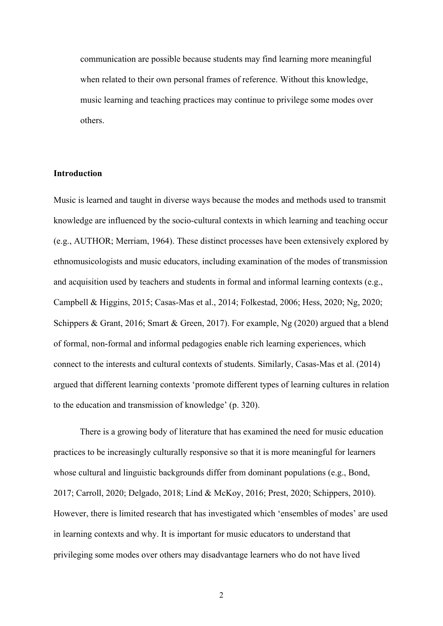communication are possible because students may find learning more meaningful when related to their own personal frames of reference. Without this knowledge, music learning and teaching practices may continue to privilege some modes over others.

#### **Introduction**

Music is learned and taught in diverse ways because the modes and methods used to transmit knowledge are influenced by the socio-cultural contexts in which learning and teaching occur (e.g., AUTHOR; Merriam, 1964). These distinct processes have been extensively explored by ethnomusicologists and music educators, including examination of the modes of transmission and acquisition used by teachers and students in formal and informal learning contexts (e.g., Campbell & Higgins, 2015; Casas-Mas et al., 2014; Folkestad, 2006; Hess, 2020; Ng, 2020; Schippers & Grant, 2016; Smart & Green, 2017). For example, Ng (2020) argued that a blend of formal, non-formal and informal pedagogies enable rich learning experiences, which connect to the interests and cultural contexts of students. Similarly, Casas-Mas et al. (2014) argued that different learning contexts 'promote different types of learning cultures in relation to the education and transmission of knowledge' (p. 320).

There is a growing body of literature that has examined the need for music education practices to be increasingly culturally responsive so that it is more meaningful for learners whose cultural and linguistic backgrounds differ from dominant populations (e.g., Bond, 2017; Carroll, 2020; Delgado, 2018; Lind & McKoy, 2016; Prest, 2020; Schippers, 2010). However, there is limited research that has investigated which 'ensembles of modes' are used in learning contexts and why. It is important for music educators to understand that privileging some modes over others may disadvantage learners who do not have lived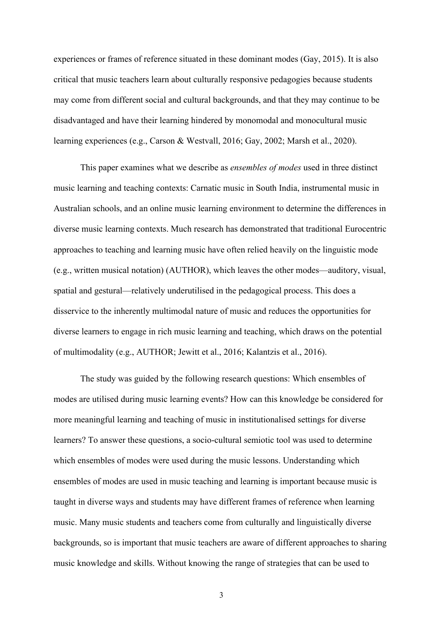experiences or frames of reference situated in these dominant modes (Gay, 2015). It is also critical that music teachers learn about culturally responsive pedagogies because students may come from different social and cultural backgrounds, and that they may continue to be disadvantaged and have their learning hindered by monomodal and monocultural music learning experiences (e.g., Carson & Westvall, 2016; Gay, 2002; Marsh et al., 2020).

This paper examines what we describe as *ensembles of modes* used in three distinct music learning and teaching contexts: Carnatic music in South India, instrumental music in Australian schools, and an online music learning environment to determine the differences in diverse music learning contexts. Much research has demonstrated that traditional Eurocentric approaches to teaching and learning music have often relied heavily on the linguistic mode (e.g., written musical notation) (AUTHOR), which leaves the other modes—auditory, visual, spatial and gestural—relatively underutilised in the pedagogical process. This does a disservice to the inherently multimodal nature of music and reduces the opportunities for diverse learners to engage in rich music learning and teaching, which draws on the potential of multimodality (e.g., AUTHOR; Jewitt et al., 2016; Kalantzis et al., 2016).

The study was guided by the following research questions: Which ensembles of modes are utilised during music learning events? How can this knowledge be considered for more meaningful learning and teaching of music in institutionalised settings for diverse learners? To answer these questions, a socio-cultural semiotic tool was used to determine which ensembles of modes were used during the music lessons. Understanding which ensembles of modes are used in music teaching and learning is important because music is taught in diverse ways and students may have different frames of reference when learning music. Many music students and teachers come from culturally and linguistically diverse backgrounds, so is important that music teachers are aware of different approaches to sharing music knowledge and skills. Without knowing the range of strategies that can be used to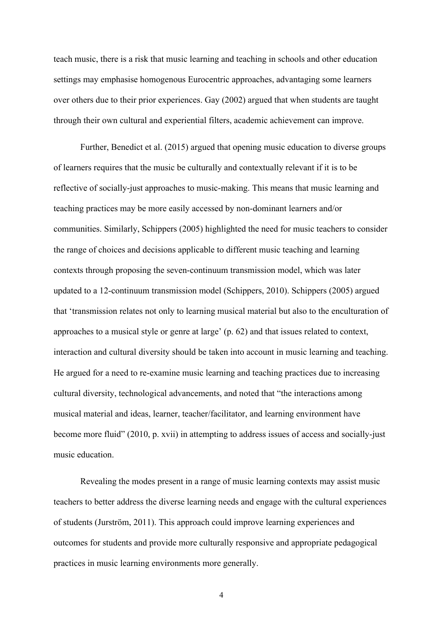teach music, there is a risk that music learning and teaching in schools and other education settings may emphasise homogenous Eurocentric approaches, advantaging some learners over others due to their prior experiences. Gay (2002) argued that when students are taught through their own cultural and experiential filters, academic achievement can improve.

Further, Benedict et al. (2015) argued that opening music education to diverse groups of learners requires that the music be culturally and contextually relevant if it is to be reflective of socially-just approaches to music-making. This means that music learning and teaching practices may be more easily accessed by non-dominant learners and/or communities. Similarly, Schippers (2005) highlighted the need for music teachers to consider the range of choices and decisions applicable to different music teaching and learning contexts through proposing the seven-continuum transmission model, which was later updated to a 12-continuum transmission model (Schippers, 2010). Schippers (2005) argued that 'transmission relates not only to learning musical material but also to the enculturation of approaches to a musical style or genre at large' (p. 62) and that issues related to context, interaction and cultural diversity should be taken into account in music learning and teaching. He argued for a need to re-examine music learning and teaching practices due to increasing cultural diversity, technological advancements, and noted that "the interactions among musical material and ideas, learner, teacher/facilitator, and learning environment have become more fluid" (2010, p. xvii) in attempting to address issues of access and socially-just music education.

Revealing the modes present in a range of music learning contexts may assist music teachers to better address the diverse learning needs and engage with the cultural experiences of students (Jurström, 2011). This approach could improve learning experiences and outcomes for students and provide more culturally responsive and appropriate pedagogical practices in music learning environments more generally.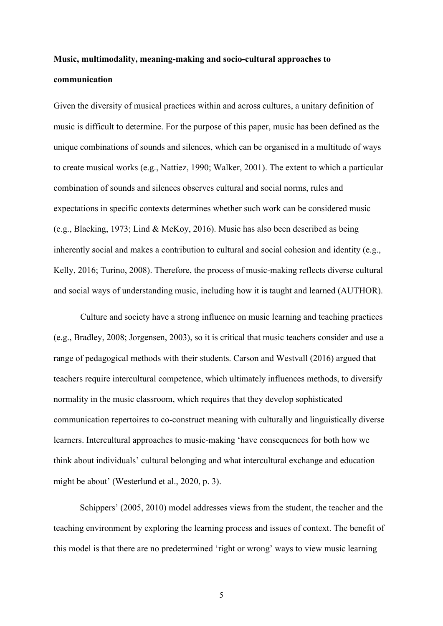## **Music, multimodality, meaning-making and socio-cultural approaches to communication**

Given the diversity of musical practices within and across cultures, a unitary definition of music is difficult to determine. For the purpose of this paper, music has been defined as the unique combinations of sounds and silences, which can be organised in a multitude of ways to create musical works (e.g., Nattiez, 1990; Walker, 2001). The extent to which a particular combination of sounds and silences observes cultural and social norms, rules and expectations in specific contexts determines whether such work can be considered music (e.g., Blacking, 1973; Lind & McKoy, 2016). Music has also been described as being inherently social and makes a contribution to cultural and social cohesion and identity (e.g., Kelly, 2016; Turino, 2008). Therefore, the process of music-making reflects diverse cultural and social ways of understanding music, including how it is taught and learned (AUTHOR).

Culture and society have a strong influence on music learning and teaching practices (e.g., Bradley, 2008; Jorgensen, 2003), so it is critical that music teachers consider and use a range of pedagogical methods with their students. Carson and Westvall (2016) argued that teachers require intercultural competence, which ultimately influences methods, to diversify normality in the music classroom, which requires that they develop sophisticated communication repertoires to co-construct meaning with culturally and linguistically diverse learners. Intercultural approaches to music-making 'have consequences for both how we think about individuals' cultural belonging and what intercultural exchange and education might be about' (Westerlund et al., 2020, p. 3).

Schippers' (2005, 2010) model addresses views from the student, the teacher and the teaching environment by exploring the learning process and issues of context. The benefit of this model is that there are no predetermined 'right or wrong' ways to view music learning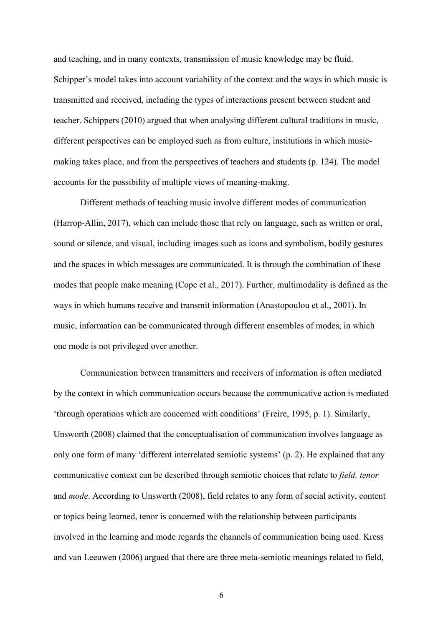and teaching, and in many contexts, transmission of music knowledge may be fluid. Schipper's model takes into account variability of the context and the ways in which music is transmitted and received, including the types of interactions present between student and teacher. Schippers (2010) argued that when analysing different cultural traditions in music, different perspectives can be employed such as from culture, institutions in which musicmaking takes place, and from the perspectives of teachers and students (p. 124). The model accounts for the possibility of multiple views of meaning-making.

Different methods of teaching music involve different modes of communication (Harrop-Allin, 2017), which can include those that rely on language, such as written or oral, sound or silence, and visual, including images such as icons and symbolism, bodily gestures and the spaces in which messages are communicated. It is through the combination of these modes that people make meaning (Cope et al., 2017). Further, multimodality is defined as the ways in which humans receive and transmit information (Anastopoulou et al., 2001). In music, information can be communicated through different ensembles of modes, in which one mode is not privileged over another.

Communication between transmitters and receivers of information is often mediated by the context in which communication occurs because the communicative action is mediated 'through operations which are concerned with conditions' (Freire, 1995, p. 1). Similarly, Unsworth (2008) claimed that the conceptualisation of communication involves language as only one form of many 'different interrelated semiotic systems' (p. 2). He explained that any communicative context can be described through semiotic choices that relate to *field, tenor* and *mode*. According to Unsworth (2008), field relates to any form of social activity, content or topics being learned, tenor is concerned with the relationship between participants involved in the learning and mode regards the channels of communication being used. Kress and van Leeuwen (2006) argued that there are three meta-semiotic meanings related to field,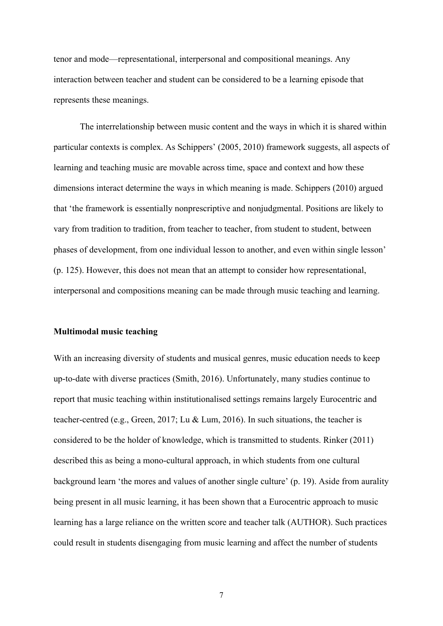tenor and mode—representational, interpersonal and compositional meanings. Any interaction between teacher and student can be considered to be a learning episode that represents these meanings.

The interrelationship between music content and the ways in which it is shared within particular contexts is complex. As Schippers' (2005, 2010) framework suggests, all aspects of learning and teaching music are movable across time, space and context and how these dimensions interact determine the ways in which meaning is made. Schippers (2010) argued that 'the framework is essentially nonprescriptive and nonjudgmental. Positions are likely to vary from tradition to tradition, from teacher to teacher, from student to student, between phases of development, from one individual lesson to another, and even within single lesson' (p. 125). However, this does not mean that an attempt to consider how representational, interpersonal and compositions meaning can be made through music teaching and learning.

#### **Multimodal music teaching**

With an increasing diversity of students and musical genres, music education needs to keep up-to-date with diverse practices (Smith, 2016). Unfortunately, many studies continue to report that music teaching within institutionalised settings remains largely Eurocentric and teacher-centred (e.g., Green, 2017; Lu & Lum, 2016). In such situations, the teacher is considered to be the holder of knowledge, which is transmitted to students. Rinker (2011) described this as being a mono-cultural approach, in which students from one cultural background learn 'the mores and values of another single culture' (p. 19). Aside from aurality being present in all music learning, it has been shown that a Eurocentric approach to music learning has a large reliance on the written score and teacher talk (AUTHOR). Such practices could result in students disengaging from music learning and affect the number of students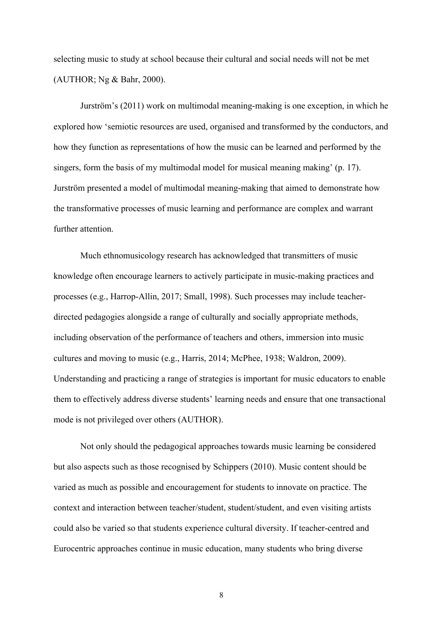selecting music to study at school because their cultural and social needs will not be met (AUTHOR; Ng & Bahr, 2000).

Jurström's (2011) work on multimodal meaning-making is one exception, in which he explored how 'semiotic resources are used, organised and transformed by the conductors, and how they function as representations of how the music can be learned and performed by the singers, form the basis of my multimodal model for musical meaning making' (p. 17). Jurström presented a model of multimodal meaning-making that aimed to demonstrate how the transformative processes of music learning and performance are complex and warrant further attention.

Much ethnomusicology research has acknowledged that transmitters of music knowledge often encourage learners to actively participate in music-making practices and processes (e.g., Harrop-Allin, 2017; Small, 1998). Such processes may include teacherdirected pedagogies alongside a range of culturally and socially appropriate methods, including observation of the performance of teachers and others, immersion into music cultures and moving to music (e.g., Harris, 2014; McPhee, 1938; Waldron, 2009). Understanding and practicing a range of strategies is important for music educators to enable them to effectively address diverse students' learning needs and ensure that one transactional mode is not privileged over others (AUTHOR).

Not only should the pedagogical approaches towards music learning be considered but also aspects such as those recognised by Schippers (2010). Music content should be varied as much as possible and encouragement for students to innovate on practice. The context and interaction between teacher/student, student/student, and even visiting artists could also be varied so that students experience cultural diversity. If teacher-centred and Eurocentric approaches continue in music education, many students who bring diverse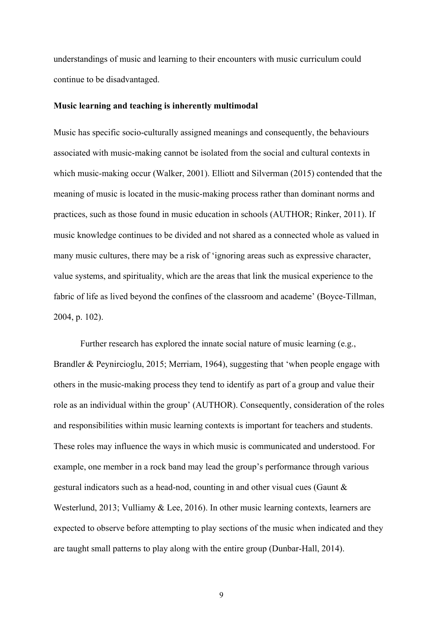understandings of music and learning to their encounters with music curriculum could continue to be disadvantaged.

#### **Music learning and teaching is inherently multimodal**

Music has specific socio-culturally assigned meanings and consequently, the behaviours associated with music-making cannot be isolated from the social and cultural contexts in which music-making occur (Walker, 2001). Elliott and Silverman (2015) contended that the meaning of music is located in the music-making process rather than dominant norms and practices, such as those found in music education in schools (AUTHOR; Rinker, 2011). If music knowledge continues to be divided and not shared as a connected whole as valued in many music cultures, there may be a risk of 'ignoring areas such as expressive character, value systems, and spirituality, which are the areas that link the musical experience to the fabric of life as lived beyond the confines of the classroom and academe' (Boyce-Tillman, 2004, p. 102).

Further research has explored the innate social nature of music learning (e.g., Brandler & Peynircioglu, 2015; Merriam, 1964), suggesting that 'when people engage with others in the music-making process they tend to identify as part of a group and value their role as an individual within the group' (AUTHOR). Consequently, consideration of the roles and responsibilities within music learning contexts is important for teachers and students. These roles may influence the ways in which music is communicated and understood. For example, one member in a rock band may lead the group's performance through various gestural indicators such as a head-nod, counting in and other visual cues (Gaunt & Westerlund, 2013; Vulliamy & Lee, 2016). In other music learning contexts, learners are expected to observe before attempting to play sections of the music when indicated and they are taught small patterns to play along with the entire group (Dunbar-Hall, 2014).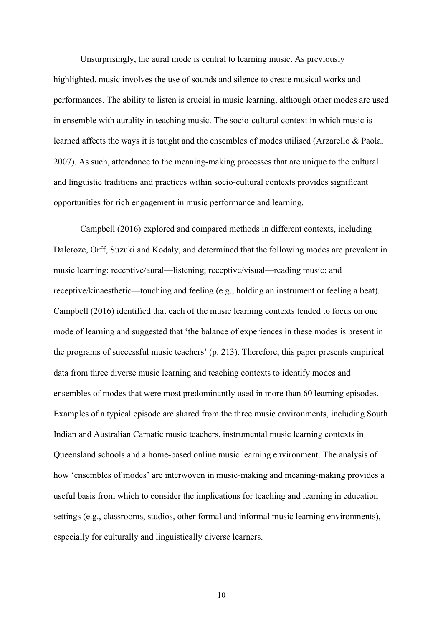Unsurprisingly, the aural mode is central to learning music. As previously highlighted, music involves the use of sounds and silence to create musical works and performances. The ability to listen is crucial in music learning, although other modes are used in ensemble with aurality in teaching music. The socio-cultural context in which music is learned affects the ways it is taught and the ensembles of modes utilised (Arzarello & Paola, 2007). As such, attendance to the meaning-making processes that are unique to the cultural and linguistic traditions and practices within socio-cultural contexts provides significant opportunities for rich engagement in music performance and learning.

Campbell (2016) explored and compared methods in different contexts, including Dalcroze, Orff, Suzuki and Kodaly, and determined that the following modes are prevalent in music learning: receptive/aural—listening; receptive/visual—reading music; and receptive/kinaesthetic—touching and feeling (e.g., holding an instrument or feeling a beat). Campbell (2016) identified that each of the music learning contexts tended to focus on one mode of learning and suggested that 'the balance of experiences in these modes is present in the programs of successful music teachers' (p. 213). Therefore, this paper presents empirical data from three diverse music learning and teaching contexts to identify modes and ensembles of modes that were most predominantly used in more than 60 learning episodes. Examples of a typical episode are shared from the three music environments, including South Indian and Australian Carnatic music teachers, instrumental music learning contexts in Queensland schools and a home-based online music learning environment. The analysis of how 'ensembles of modes' are interwoven in music-making and meaning-making provides a useful basis from which to consider the implications for teaching and learning in education settings (e.g., classrooms, studios, other formal and informal music learning environments), especially for culturally and linguistically diverse learners.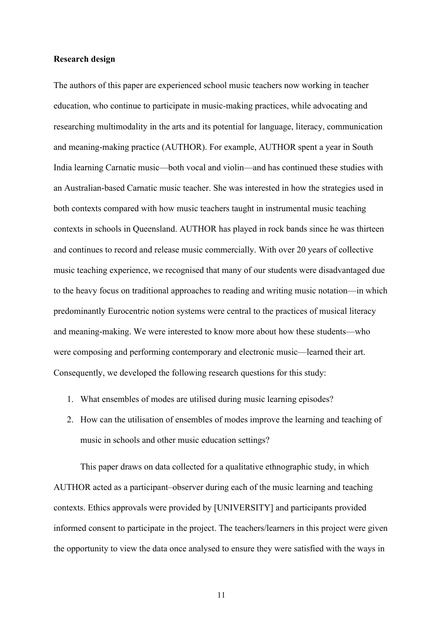#### **Research design**

The authors of this paper are experienced school music teachers now working in teacher education, who continue to participate in music-making practices, while advocating and researching multimodality in the arts and its potential for language, literacy, communication and meaning-making practice (AUTHOR). For example, AUTHOR spent a year in South India learning Carnatic music—both vocal and violin—and has continued these studies with an Australian-based Carnatic music teacher. She was interested in how the strategies used in both contexts compared with how music teachers taught in instrumental music teaching contexts in schools in Queensland. AUTHOR has played in rock bands since he was thirteen and continues to record and release music commercially. With over 20 years of collective music teaching experience, we recognised that many of our students were disadvantaged due to the heavy focus on traditional approaches to reading and writing music notation—in which predominantly Eurocentric notion systems were central to the practices of musical literacy and meaning-making. We were interested to know more about how these students—who were composing and performing contemporary and electronic music—learned their art. Consequently, we developed the following research questions for this study:

- 1. What ensembles of modes are utilised during music learning episodes?
- 2. How can the utilisation of ensembles of modes improve the learning and teaching of music in schools and other music education settings?

This paper draws on data collected for a qualitative ethnographic study, in which AUTHOR acted as a participant–observer during each of the music learning and teaching contexts. Ethics approvals were provided by [UNIVERSITY] and participants provided informed consent to participate in the project. The teachers/learners in this project were given the opportunity to view the data once analysed to ensure they were satisfied with the ways in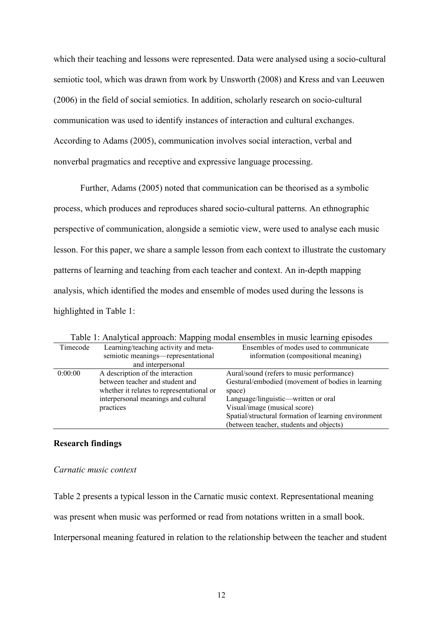which their teaching and lessons were represented. Data were analysed using a socio-cultural semiotic tool, which was drawn from work by Unsworth (2008) and Kress and van Leeuwen (2006) in the field of social semiotics. In addition, scholarly research on socio-cultural communication was used to identify instances of interaction and cultural exchanges. According to Adams (2005), communication involves social interaction, verbal and nonverbal pragmatics and receptive and expressive language processing.

Further, Adams (2005) noted that communication can be theorised as a symbolic process, which produces and reproduces shared socio-cultural patterns. An ethnographic perspective of communication, alongside a semiotic view, were used to analyse each music lesson. For this paper, we share a sample lesson from each context to illustrate the customary patterns of learning and teaching from each teacher and context. An in-depth mapping analysis, which identified the modes and ensemble of modes used during the lessons is highlighted in Table 1:

| Timecode | Learning/teaching activity and meta-      | Ensembles of modes used to communicate               |
|----------|-------------------------------------------|------------------------------------------------------|
|          | semiotic meanings—representational        | information (compositional meaning)                  |
|          | and interpersonal                         |                                                      |
| 0:00:00  | A description of the interaction          | Aural/sound (refers to music performance)            |
|          | between teacher and student and           | Gestural/embodied (movement of bodies in learning    |
|          | whether it relates to representational or | space)                                               |
|          | interpersonal meanings and cultural       | Language/linguistic—written or oral                  |
|          | practices                                 | Visual/image (musical score)                         |
|          |                                           | Spatial/structural formation of learning environment |
|          |                                           | (between teacher, students and objects)              |

Table 1: Analytical approach: Mapping modal ensembles in music learning episodes

### **Research findings**

#### *Carnatic music context*

Table 2 presents a typical lesson in the Carnatic music context. Representational meaning

was present when music was performed or read from notations written in a small book.

Interpersonal meaning featured in relation to the relationship between the teacher and student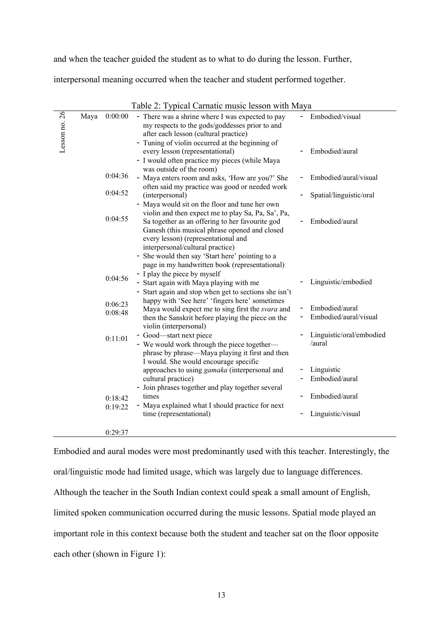and when the teacher guided the student as to what to do during the lesson. Further,

interpersonal meaning occurred when the teacher and student performed together.

|            |      |         | $\frac{1}{2}$ , $\frac{1}{2}$ , $\frac{1}{2}$ , $\frac{1}{2}$ , $\frac{1}{2}$ , $\frac{1}{2}$ , $\frac{1}{2}$ , $\frac{1}{2}$ , $\frac{1}{2}$ , $\frac{1}{2}$ , $\frac{1}{2}$ , $\frac{1}{2}$ , $\frac{1}{2}$ , $\frac{1}{2}$ , $\frac{1}{2}$ , $\frac{1}{2}$ , $\frac{1}{2}$ , $\frac{1}{2}$ , $\frac{1}{2}$ , $\frac{1}{2}$ , |                          |
|------------|------|---------|---------------------------------------------------------------------------------------------------------------------------------------------------------------------------------------------------------------------------------------------------------------------------------------------------------------------------------|--------------------------|
| 26         | Maya | 0:00:00 | - There was a shrine where I was expected to pay                                                                                                                                                                                                                                                                                | Embodied/visual          |
| Lesson no. |      |         | my respects to the gods/goddesses prior to and                                                                                                                                                                                                                                                                                  |                          |
|            |      |         | after each lesson (cultural practice)                                                                                                                                                                                                                                                                                           |                          |
|            |      |         | - Tuning of violin occurred at the beginning of                                                                                                                                                                                                                                                                                 | Embodied/aural           |
|            |      |         | every lesson (representational)                                                                                                                                                                                                                                                                                                 |                          |
|            |      |         | - I would often practice my pieces (while Maya<br>was outside of the room)                                                                                                                                                                                                                                                      |                          |
|            |      | 0:04:36 | - Maya enters room and asks, 'How are you?' She                                                                                                                                                                                                                                                                                 | Embodied/aural/visual    |
|            |      |         | often said my practice was good or needed work                                                                                                                                                                                                                                                                                  |                          |
|            |      | 0:04:52 | (interpersonal)                                                                                                                                                                                                                                                                                                                 | Spatial/linguistic/oral  |
|            |      |         | - Maya would sit on the floor and tune her own                                                                                                                                                                                                                                                                                  |                          |
|            |      |         | violin and then expect me to play Sa, Pa, Sa', Pa,                                                                                                                                                                                                                                                                              |                          |
|            |      | 0:04:55 | Sa together as an offering to her favourite god                                                                                                                                                                                                                                                                                 | Embodied/aural           |
|            |      |         | Ganesh (this musical phrase opened and closed                                                                                                                                                                                                                                                                                   |                          |
|            |      |         | every lesson) (representational and                                                                                                                                                                                                                                                                                             |                          |
|            |      |         | interpersonal/cultural practice)                                                                                                                                                                                                                                                                                                |                          |
|            |      |         | She would then say 'Start here' pointing to a                                                                                                                                                                                                                                                                                   |                          |
|            |      |         | page in my handwritten book (representational)                                                                                                                                                                                                                                                                                  |                          |
|            |      | 0:04:56 | - I play the piece by myself                                                                                                                                                                                                                                                                                                    |                          |
|            |      |         | - Start again with Maya playing with me                                                                                                                                                                                                                                                                                         | Linguistic/embodied      |
|            |      |         | - Start again and stop when get to sections she isn't                                                                                                                                                                                                                                                                           |                          |
|            |      | 0:06:23 | happy with 'See here' 'fingers here' sometimes                                                                                                                                                                                                                                                                                  | Embodied/aural           |
|            |      | 0:08:48 | Maya would expect me to sing first the svara and                                                                                                                                                                                                                                                                                | Embodied/aural/visual    |
|            |      |         | then the Sanskrit before playing the piece on the<br>violin (interpersonal)                                                                                                                                                                                                                                                     |                          |
|            |      |         | - Good—start next piece                                                                                                                                                                                                                                                                                                         | Linguistic/oral/embodied |
|            |      | 0:11:01 | - We would work through the piece together-                                                                                                                                                                                                                                                                                     | /aural                   |
|            |      |         | phrase by phrase—Maya playing it first and then                                                                                                                                                                                                                                                                                 |                          |
|            |      |         | I would. She would encourage specific                                                                                                                                                                                                                                                                                           |                          |
|            |      |         | approaches to using <i>gamaka</i> (interpersonal and                                                                                                                                                                                                                                                                            | Linguistic               |
|            |      |         | cultural practice)                                                                                                                                                                                                                                                                                                              | Embodied/aural           |
|            |      |         | - Join phrases together and play together several                                                                                                                                                                                                                                                                               |                          |
|            |      | 0:18:42 | times                                                                                                                                                                                                                                                                                                                           | Embodied/aural           |
|            |      | 0:19:22 | - Maya explained what I should practice for next                                                                                                                                                                                                                                                                                |                          |
|            |      |         | time (representational)                                                                                                                                                                                                                                                                                                         | Linguistic/visual        |
|            |      |         |                                                                                                                                                                                                                                                                                                                                 |                          |
|            |      | 0:29:37 |                                                                                                                                                                                                                                                                                                                                 |                          |

Table 2: Typical Carnatic music lesson with Maya

Embodied and aural modes were most predominantly used with this teacher. Interestingly, the oral/linguistic mode had limited usage, which was largely due to language differences. Although the teacher in the South Indian context could speak a small amount of English, limited spoken communication occurred during the music lessons. Spatial mode played an important role in this context because both the student and teacher sat on the floor opposite each other (shown in Figure 1):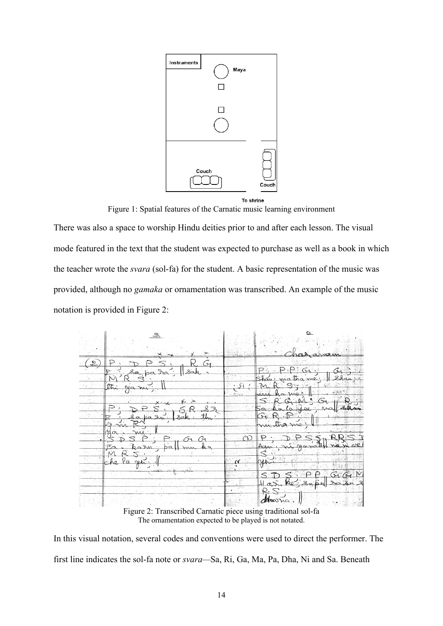

Figure 1: Spatial features of the Carnatic music learning environment

There was also a space to worship Hindu deities prior to and after each lesson. The visual mode featured in the text that the student was expected to purchase as well as a book in which the teacher wrote the *svara* (sol-fa) for the student. A basic representation of the music was provided, although no *gamaka* or ornamentation was transcribed. An example of the music notation is provided in Figure 2:



Figure 2: Transcribed Carnatic piece using traditional sol-fa The ornamentation expected to be played is not notated.

In this visual notation, several codes and conventions were used to direct the performer. The first line indicates the sol-fa note or *svara—*Sa, Ri, Ga, Ma, Pa, Dha, Ni and Sa. Beneath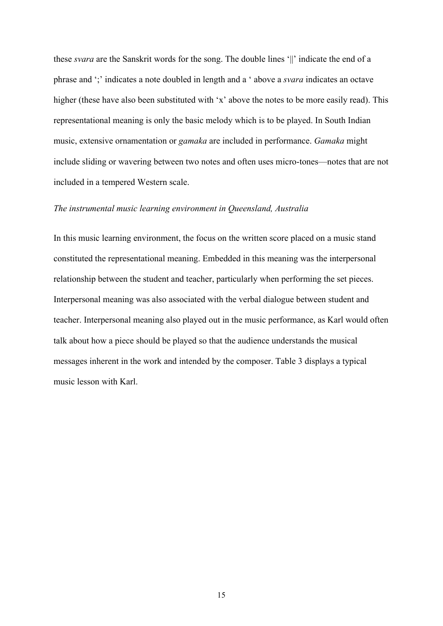these *svara* are the Sanskrit words for the song. The double lines '||' indicate the end of a phrase and ';' indicates a note doubled in length and a ' above a *svara* indicates an octave higher (these have also been substituted with 'x' above the notes to be more easily read). This representational meaning is only the basic melody which is to be played. In South Indian music, extensive ornamentation or *gamaka* are included in performance. *Gamaka* might include sliding or wavering between two notes and often uses micro-tones—notes that are not included in a tempered Western scale.

#### *The instrumental music learning environment in Queensland, Australia*

In this music learning environment, the focus on the written score placed on a music stand constituted the representational meaning. Embedded in this meaning was the interpersonal relationship between the student and teacher, particularly when performing the set pieces. Interpersonal meaning was also associated with the verbal dialogue between student and teacher. Interpersonal meaning also played out in the music performance, as Karl would often talk about how a piece should be played so that the audience understands the musical messages inherent in the work and intended by the composer. Table 3 displays a typical music lesson with Karl.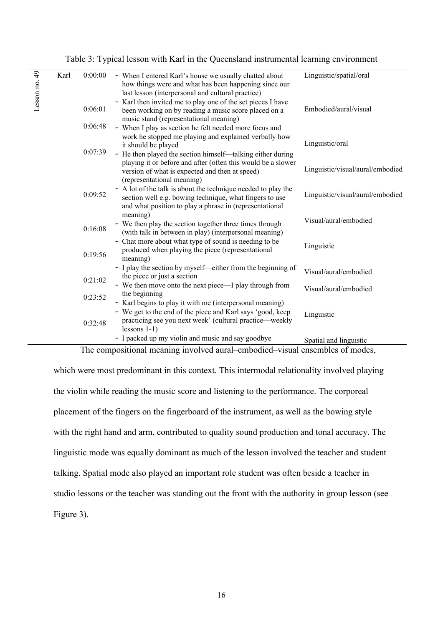Table 3: Typical lesson with Karl in the Queensland instrumental learning environment

| Lesson no. 49<br>Karl | 0:00:00 | - When I entered Karl's house we usually chatted about<br>how things were and what has been happening since our<br>last lesson (interpersonal and cultural practice)                                       | Linguistic/spatial/oral          |
|-----------------------|---------|------------------------------------------------------------------------------------------------------------------------------------------------------------------------------------------------------------|----------------------------------|
|                       | 0:06:01 | - Karl then invited me to play one of the set pieces I have<br>been working on by reading a music score placed on a<br>music stand (representational meaning)                                              | Embodied/aural/visual            |
|                       | 0:06:48 | - When I play as section he felt needed more focus and<br>work he stopped me playing and explained verbally how<br>it should be played                                                                     | Linguistic/oral                  |
|                       | 0:07:39 | - He then played the section himself-talking either during<br>playing it or before and after (often this would be a slower<br>version of what is expected and then at speed)<br>(representational meaning) | Linguistic/visual/aural/embodied |
|                       | 0:09:52 | - A lot of the talk is about the technique needed to play the<br>section well e.g. bowing technique, what fingers to use<br>and what position to play a phrase in (representational                        | Linguistic/visual/aural/embodied |
|                       | 0:16:08 | meaning)<br>- We then play the section together three times through<br>(with talk in between in play) (interpersonal meaning)                                                                              | Visual/aural/embodied            |
|                       | 0:19:56 | - Chat more about what type of sound is needing to be<br>produced when playing the piece (representational<br>meaning)                                                                                     | Linguistic                       |
|                       | 0:21:02 | - I play the section by myself—either from the beginning of<br>the piece or just a section                                                                                                                 | Visual/aural/embodied            |
|                       | 0:23:52 | - We then move onto the next piece—I play through from<br>the beginning                                                                                                                                    | Visual/aural/embodied            |
|                       | 0:32:48 | - Karl begins to play it with me (interpersonal meaning)<br>- We get to the end of the piece and Karl says 'good, keep<br>practicing see you next week' (cultural practice—weekly<br>lessons $1-1$ )       | Linguistic                       |
|                       |         | - I packed up my violin and music and say goodbye                                                                                                                                                          | Spatial and linguistic           |

The compositional meaning involved aural–embodied–visual ensembles of modes,

which were most predominant in this context. This intermodal relationality involved playing the violin while reading the music score and listening to the performance. The corporeal placement of the fingers on the fingerboard of the instrument, as well as the bowing style with the right hand and arm, contributed to quality sound production and tonal accuracy. The linguistic mode was equally dominant as much of the lesson involved the teacher and student talking. Spatial mode also played an important role student was often beside a teacher in studio lessons or the teacher was standing out the front with the authority in group lesson (see Figure 3).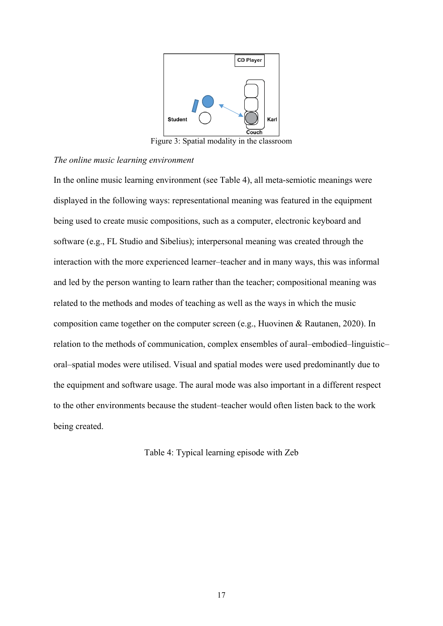

Figure 3: Spatial modality in the classroom

#### *The online music learning environment*

In the online music learning environment (see Table 4), all meta-semiotic meanings were displayed in the following ways: representational meaning was featured in the equipment being used to create music compositions, such as a computer, electronic keyboard and software (e.g., FL Studio and Sibelius); interpersonal meaning was created through the interaction with the more experienced learner–teacher and in many ways, this was informal and led by the person wanting to learn rather than the teacher; compositional meaning was related to the methods and modes of teaching as well as the ways in which the music composition came together on the computer screen (e.g., Huovinen & Rautanen, 2020). In relation to the methods of communication, complex ensembles of aural–embodied–linguistic– oral–spatial modes were utilised. Visual and spatial modes were used predominantly due to the equipment and software usage. The aural mode was also important in a different respect to the other environments because the student–teacher would often listen back to the work being created.

Table 4: Typical learning episode with Zeb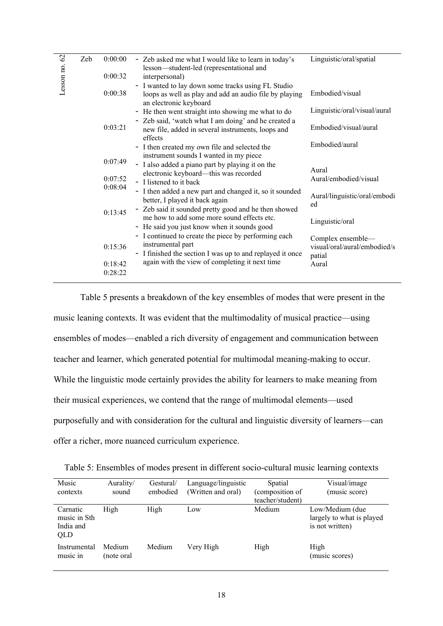|               | Zeb | 0:00:00 |                                                                                                    | Linguistic/oral/spatial      |
|---------------|-----|---------|----------------------------------------------------------------------------------------------------|------------------------------|
|               |     |         | - Zeb asked me what I would like to learn in today's                                               |                              |
| Lesson no. 62 |     |         | lesson-student-led (representational and                                                           |                              |
|               |     | 0:00:32 | interpersonal)                                                                                     |                              |
|               |     |         | - I wanted to lay down some tracks using FL Studio                                                 |                              |
|               |     | 0:00:38 | loops as well as play and add an audio file by playing                                             | Embodied/visual              |
|               |     |         | an electronic keyboard                                                                             |                              |
|               |     |         | - He then went straight into showing me what to do                                                 | Linguistic/oral/visual/aural |
|               |     |         |                                                                                                    |                              |
|               |     | 0:03:21 | - Zeb said, 'watch what I am doing' and he created a                                               | Embodied/visual/aural        |
|               |     |         | new file, added in several instruments, loops and                                                  |                              |
|               |     |         | effects                                                                                            |                              |
|               |     |         | - I then created my own file and selected the                                                      | Embodied/aural               |
|               |     |         | instrument sounds I wanted in my piece                                                             |                              |
|               |     | 0:07:49 | - I also added a piano part by playing it on the                                                   |                              |
|               |     |         | electronic keyboard—this was recorded<br>- I listened to it back                                   | Aural                        |
|               |     | 0:07:52 |                                                                                                    | Aural/embodied/visual        |
|               |     | 0:08:04 |                                                                                                    |                              |
|               |     |         | - I then added a new part and changed it, so it sounded                                            | Aural/linguistic/oral/embodi |
|               |     |         | better, I played it back again                                                                     | ed                           |
|               |     | 0:13:45 | - Zeb said it sounded pretty good and he then showed<br>me how to add some more sound effects etc. |                              |
|               |     |         |                                                                                                    | Linguistic/oral              |
|               |     |         | - He said you just know when it sounds good                                                        |                              |
|               |     |         | - I continued to create the piece by performing each                                               |                              |
|               |     | 0:15:36 | instrumental part                                                                                  | Complex ensemble-            |
|               |     |         | - I finished the section I was up to and replayed it once                                          | visual/oral/aural/embodied/s |
|               |     |         |                                                                                                    | patial                       |
|               |     | 0:18:42 | again with the view of completing it next time                                                     | Aural                        |
|               |     | 0:28:22 |                                                                                                    |                              |
|               |     |         |                                                                                                    |                              |

Table 5 presents a breakdown of the key ensembles of modes that were present in the music leaning contexts. It was evident that the multimodality of musical practice—using ensembles of modes—enabled a rich diversity of engagement and communication between teacher and learner, which generated potential for multimodal meaning-making to occur. While the linguistic mode certainly provides the ability for learners to make meaning from their musical experiences, we contend that the range of multimodal elements—used purposefully and with consideration for the cultural and linguistic diversity of learners—can offer a richer, more nuanced curriculum experience.

| Music                                        | Aurality/            | Gestural/ | Language/linguistic | Spatial          | Visual/image                                                    |
|----------------------------------------------|----------------------|-----------|---------------------|------------------|-----------------------------------------------------------------|
| contexts                                     | sound                | embodied  | (Written and oral)  | (composition of  | (music score)                                                   |
|                                              |                      |           |                     | teacher/student) |                                                                 |
| Carnatic<br>music in Sth<br>India and<br>QLD | High                 | High      | Low                 | Medium           | Low/Medium (due<br>largely to what is played<br>is not written) |
| Instrumental<br>music in                     | Medium<br>(note oral | Medium    | Very High           | High             | High<br>(music scores)                                          |

Table 5: Ensembles of modes present in different socio-cultural music learning contexts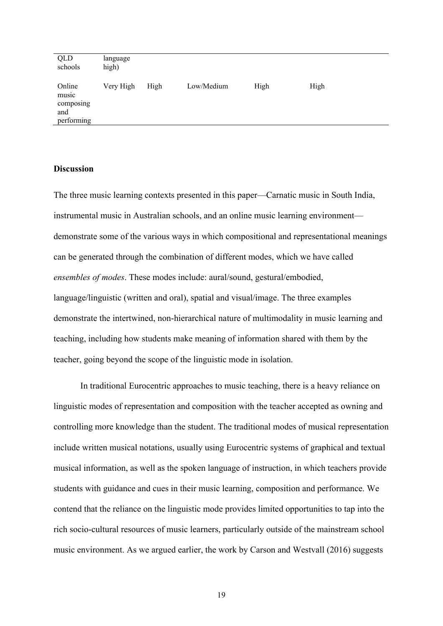| QLD<br>schools                                    | language<br>high) |      |            |      |      |
|---------------------------------------------------|-------------------|------|------------|------|------|
| Online<br>music<br>composing<br>and<br>performing | Very High         | High | Low/Medium | High | High |

#### **Discussion**

The three music learning contexts presented in this paper—Carnatic music in South India, instrumental music in Australian schools, and an online music learning environment demonstrate some of the various ways in which compositional and representational meanings can be generated through the combination of different modes, which we have called *ensembles of modes*. These modes include: aural/sound, gestural/embodied, language/linguistic (written and oral), spatial and visual/image. The three examples demonstrate the intertwined, non-hierarchical nature of multimodality in music learning and teaching, including how students make meaning of information shared with them by the teacher, going beyond the scope of the linguistic mode in isolation.

In traditional Eurocentric approaches to music teaching, there is a heavy reliance on linguistic modes of representation and composition with the teacher accepted as owning and controlling more knowledge than the student. The traditional modes of musical representation include written musical notations, usually using Eurocentric systems of graphical and textual musical information, as well as the spoken language of instruction, in which teachers provide students with guidance and cues in their music learning, composition and performance. We contend that the reliance on the linguistic mode provides limited opportunities to tap into the rich socio-cultural resources of music learners, particularly outside of the mainstream school music environment. As we argued earlier, the work by Carson and Westvall (2016) suggests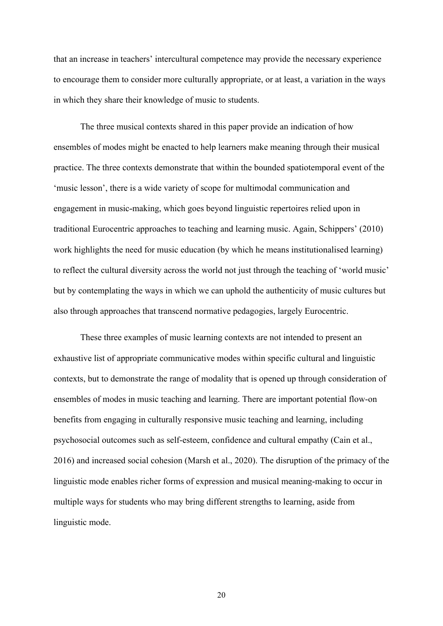that an increase in teachers' intercultural competence may provide the necessary experience to encourage them to consider more culturally appropriate, or at least, a variation in the ways in which they share their knowledge of music to students.

The three musical contexts shared in this paper provide an indication of how ensembles of modes might be enacted to help learners make meaning through their musical practice. The three contexts demonstrate that within the bounded spatiotemporal event of the 'music lesson', there is a wide variety of scope for multimodal communication and engagement in music-making, which goes beyond linguistic repertoires relied upon in traditional Eurocentric approaches to teaching and learning music. Again, Schippers' (2010) work highlights the need for music education (by which he means institutionalised learning) to reflect the cultural diversity across the world not just through the teaching of 'world music' but by contemplating the ways in which we can uphold the authenticity of music cultures but also through approaches that transcend normative pedagogies, largely Eurocentric.

These three examples of music learning contexts are not intended to present an exhaustive list of appropriate communicative modes within specific cultural and linguistic contexts, but to demonstrate the range of modality that is opened up through consideration of ensembles of modes in music teaching and learning. There are important potential flow-on benefits from engaging in culturally responsive music teaching and learning, including psychosocial outcomes such as self-esteem, confidence and cultural empathy (Cain et al., 2016) and increased social cohesion (Marsh et al., 2020). The disruption of the primacy of the linguistic mode enables richer forms of expression and musical meaning-making to occur in multiple ways for students who may bring different strengths to learning, aside from linguistic mode.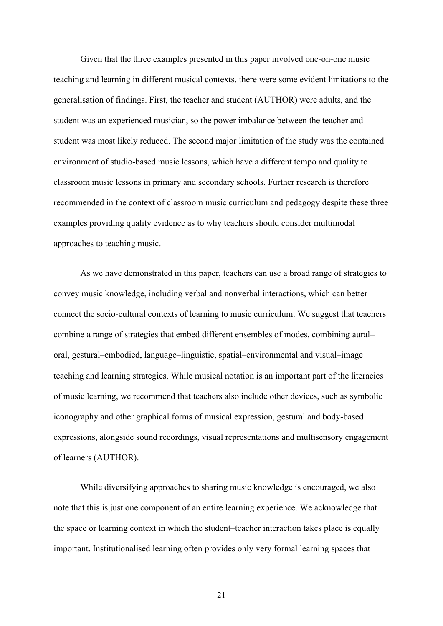Given that the three examples presented in this paper involved one-on-one music teaching and learning in different musical contexts, there were some evident limitations to the generalisation of findings. First, the teacher and student (AUTHOR) were adults, and the student was an experienced musician, so the power imbalance between the teacher and student was most likely reduced. The second major limitation of the study was the contained environment of studio-based music lessons, which have a different tempo and quality to classroom music lessons in primary and secondary schools. Further research is therefore recommended in the context of classroom music curriculum and pedagogy despite these three examples providing quality evidence as to why teachers should consider multimodal approaches to teaching music.

As we have demonstrated in this paper, teachers can use a broad range of strategies to convey music knowledge, including verbal and nonverbal interactions, which can better connect the socio-cultural contexts of learning to music curriculum. We suggest that teachers combine a range of strategies that embed different ensembles of modes, combining aural– oral, gestural–embodied, language–linguistic, spatial–environmental and visual–image teaching and learning strategies. While musical notation is an important part of the literacies of music learning, we recommend that teachers also include other devices, such as symbolic iconography and other graphical forms of musical expression, gestural and body-based expressions, alongside sound recordings, visual representations and multisensory engagement of learners (AUTHOR).

While diversifying approaches to sharing music knowledge is encouraged, we also note that this is just one component of an entire learning experience. We acknowledge that the space or learning context in which the student–teacher interaction takes place is equally important. Institutionalised learning often provides only very formal learning spaces that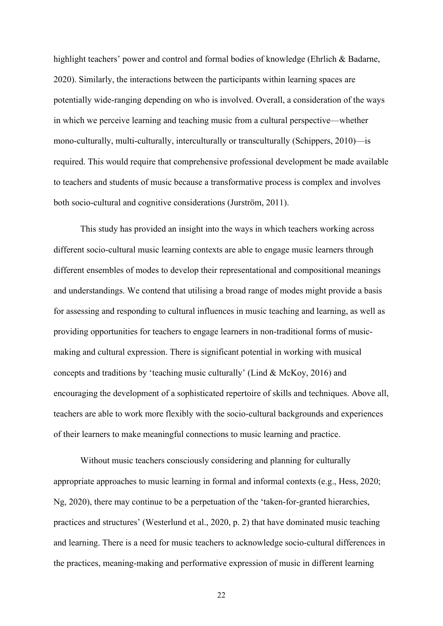highlight teachers' power and control and formal bodies of knowledge (Ehrlich & Badarne, 2020). Similarly, the interactions between the participants within learning spaces are potentially wide-ranging depending on who is involved. Overall, a consideration of the ways in which we perceive learning and teaching music from a cultural perspective—whether mono-culturally, multi-culturally, interculturally or transculturally (Schippers, 2010)—is required. This would require that comprehensive professional development be made available to teachers and students of music because a transformative process is complex and involves both socio-cultural and cognitive considerations (Jurström, 2011).

This study has provided an insight into the ways in which teachers working across different socio-cultural music learning contexts are able to engage music learners through different ensembles of modes to develop their representational and compositional meanings and understandings. We contend that utilising a broad range of modes might provide a basis for assessing and responding to cultural influences in music teaching and learning, as well as providing opportunities for teachers to engage learners in non-traditional forms of musicmaking and cultural expression. There is significant potential in working with musical concepts and traditions by 'teaching music culturally' (Lind & McKoy, 2016) and encouraging the development of a sophisticated repertoire of skills and techniques. Above all, teachers are able to work more flexibly with the socio-cultural backgrounds and experiences of their learners to make meaningful connections to music learning and practice.

Without music teachers consciously considering and planning for culturally appropriate approaches to music learning in formal and informal contexts (e.g., Hess, 2020; Ng, 2020), there may continue to be a perpetuation of the 'taken-for-granted hierarchies, practices and structures' (Westerlund et al., 2020, p. 2) that have dominated music teaching and learning. There is a need for music teachers to acknowledge socio-cultural differences in the practices, meaning-making and performative expression of music in different learning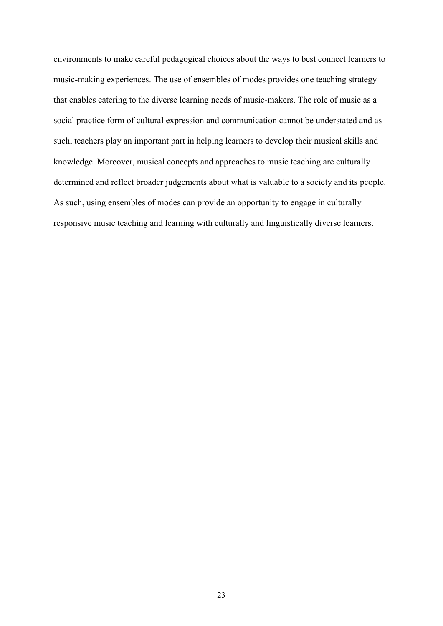environments to make careful pedagogical choices about the ways to best connect learners to music-making experiences. The use of ensembles of modes provides one teaching strategy that enables catering to the diverse learning needs of music-makers. The role of music as a social practice form of cultural expression and communication cannot be understated and as such, teachers play an important part in helping learners to develop their musical skills and knowledge. Moreover, musical concepts and approaches to music teaching are culturally determined and reflect broader judgements about what is valuable to a society and its people. As such, using ensembles of modes can provide an opportunity to engage in culturally responsive music teaching and learning with culturally and linguistically diverse learners.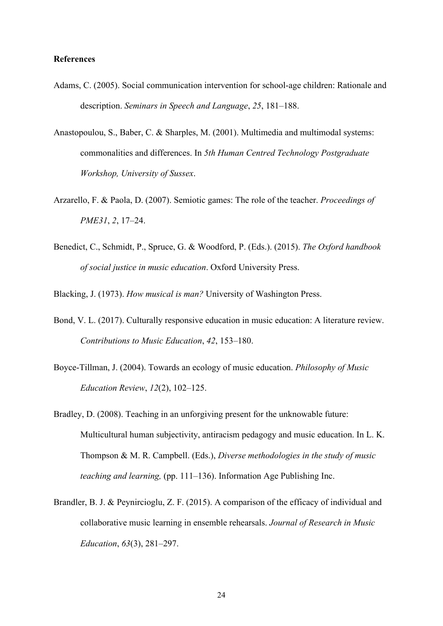#### **References**

- Adams, C. (2005). Social communication intervention for school-age children: Rationale and description. *Seminars in Speech and Language*, *25*, 181–188.
- Anastopoulou, S., Baber, C. & Sharples, M. (2001). Multimedia and multimodal systems: commonalities and differences. In *5th Human Centred Technology Postgraduate Workshop, University of Sussex*.
- Arzarello, F. & Paola, D. (2007). Semiotic games: The role of the teacher. *Proceedings of PME31*, *2*, 17–24.
- Benedict, C., Schmidt, P., Spruce, G. & Woodford, P. (Eds.). (2015). *The Oxford handbook of social justice in music education*. Oxford University Press.

Blacking, J. (1973). *How musical is man?* University of Washington Press.

- Bond, V. L. (2017). Culturally responsive education in music education: A literature review. *Contributions to Music Education*, *42*, 153–180.
- Boyce-Tillman, J. (2004). Towards an ecology of music education. *Philosophy of Music Education Review*, *12*(2), 102–125.
- Bradley, D. (2008). Teaching in an unforgiving present for the unknowable future: Multicultural human subjectivity, antiracism pedagogy and music education. In L. K. Thompson & M. R. Campbell. (Eds.), *Diverse methodologies in the study of music teaching and learning,* (pp. 111–136). Information Age Publishing Inc.
- Brandler, B. J. & Peynircioglu, Z. F. (2015). A comparison of the efficacy of individual and collaborative music learning in ensemble rehearsals. *Journal of Research in Music Education*, *63*(3), 281–297.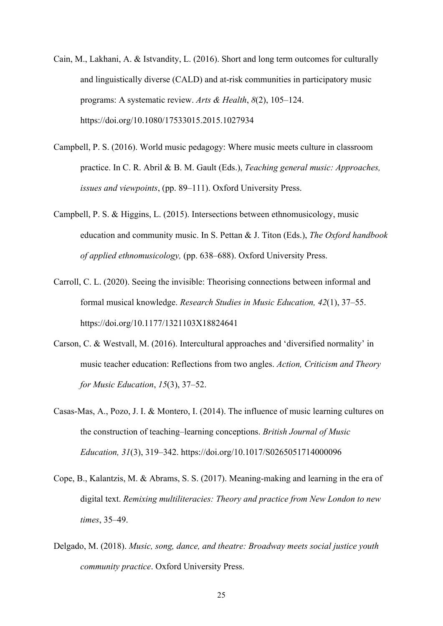- Cain, M., Lakhani, A. & Istvandity, L. (2016). Short and long term outcomes for culturally and linguistically diverse (CALD) and at-risk communities in participatory music programs: A systematic review. *Arts & Health*, *8*(2), 105–124. https://doi.org/10.1080/17533015.2015.1027934
- Campbell, P. S. (2016). World music pedagogy: Where music meets culture in classroom practice. In C. R. Abril & B. M. Gault (Eds.), *Teaching general music: Approaches, issues and viewpoints*, (pp. 89–111). Oxford University Press.
- Campbell, P. S. & Higgins, L. (2015). Intersections between ethnomusicology, music education and community music. In S. Pettan & J. Titon (Eds.), *The Oxford handbook of applied ethnomusicology,* (pp. 638–688). Oxford University Press.
- Carroll, C. L. (2020). Seeing the invisible: Theorising connections between informal and formal musical knowledge. *Research Studies in Music Education, 42*(1), 37–55. <https://doi.org/10.1177/1321103X18824641>
- Carson, C. & Westvall, M. (2016). Intercultural approaches and 'diversified normality' in music teacher education: Reflections from two angles. *Action, Criticism and Theory for Music Education*, *15*(3), 37–52.
- Casas-Mas, A., Pozo, J. I. & Montero, I. (2014). The influence of music learning cultures on the construction of teaching–learning conceptions. *British Journal of Music Education, 31*(3), 319–342. https://doi.org/10.1017/S0265051714000096
- Cope, B., Kalantzis, M. & Abrams, S. S. (2017). Meaning-making and learning in the era of digital text. *Remixing multiliteracies: Theory and practice from New London to new times*, 35–49.
- Delgado, M. (2018). *Music, song, dance, and theatre: Broadway meets social justice youth community practice*. Oxford University Press.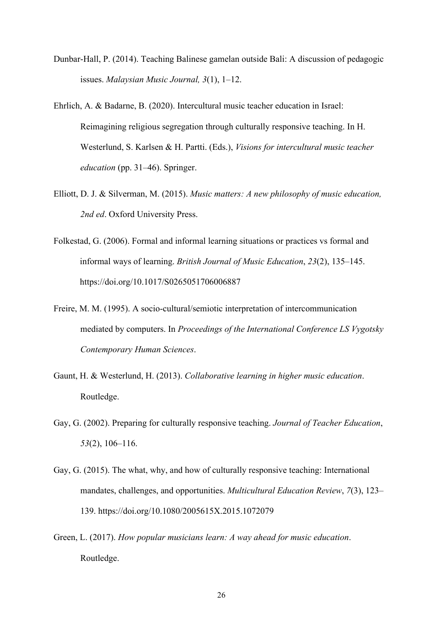- Dunbar-Hall, P. (2014). Teaching Balinese gamelan outside Bali: A discussion of pedagogic issues. *Malaysian Music Journal, 3*(1), 1–12.
- Ehrlich, A. & Badarne, B. (2020). Intercultural music teacher education in Israel: Reimagining religious segregation through culturally responsive teaching. In H. Westerlund, S. Karlsen & H. Partti. (Eds.), *Visions for intercultural music teacher education* (pp. 31–46). Springer.
- Elliott, D. J. & Silverman, M. (2015). *Music matters: A new philosophy of music education, 2nd ed*. Oxford University Press.
- Folkestad, G. (2006). Formal and informal learning situations or practices vs formal and informal ways of learning. *British Journal of Music Education*, *23*(2), 135–145. https://doi.org/10.1017/S0265051706006887
- Freire, M. M. (1995). A socio-cultural/semiotic interpretation of intercommunication mediated by computers. In *Proceedings of the International Conference LS Vygotsky Contemporary Human Sciences*.
- Gaunt, H. & Westerlund, H. (2013). *Collaborative learning in higher music education*. Routledge.
- Gay, G. (2002). Preparing for culturally responsive teaching. *Journal of Teacher Education*, *53*(2), 106–116.
- Gay, G. (2015). The what, why, and how of culturally responsive teaching: International mandates, challenges, and opportunities. *Multicultural Education Review*, *7*(3), 123– 139. https://doi.org/10.1080/2005615X.2015.1072079
- Green, L. (2017). *How popular musicians learn: A way ahead for music education*. Routledge.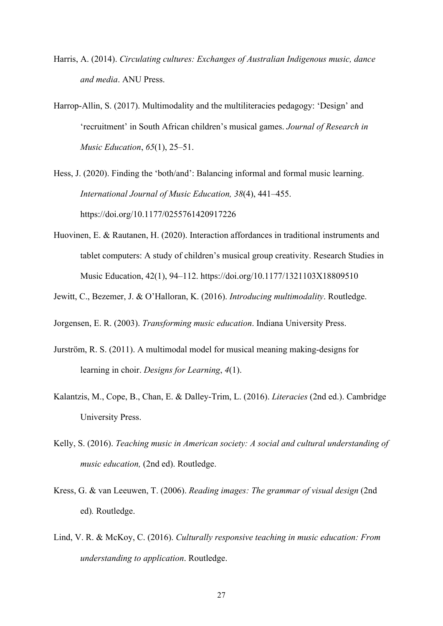- Harris, A. (2014). *Circulating cultures: Exchanges of Australian Indigenous music, dance and media*. ANU Press.
- Harrop-Allin, S. (2017). Multimodality and the multiliteracies pedagogy: 'Design' and 'recruitment' in South African children's musical games. *Journal of Research in Music Education*, *65*(1), 25–51.

Hess, J. (2020). Finding the 'both/and': Balancing informal and formal music learning. *International Journal of Music Education, 38*(4), 441–455. https://doi.org/10.1177/0255761420917226

- Huovinen, E. & Rautanen, H. (2020). Interaction affordances in traditional instruments and tablet computers: A study of children's musical group creativity. Research Studies in Music Education, 42(1), 94–112.<https://doi.org/10.1177/1321103X18809510>
- Jewitt, C., Bezemer, J. & O'Halloran, K. (2016). *Introducing multimodality*. Routledge.

Jorgensen, E. R. (2003). *Transforming music education*. Indiana University Press.

- Jurström, R. S. (2011). A multimodal model for musical meaning making-designs for learning in choir. *Designs for Learning*, *4*(1).
- Kalantzis, M., Cope, B., Chan, E. & Dalley-Trim, L. (2016). *Literacies* (2nd ed.). Cambridge University Press.
- Kelly, S. (2016). *Teaching music in American society: A social and cultural understanding of music education,* (2nd ed). Routledge.
- Kress, G. & van Leeuwen, T. (2006). *Reading images: The grammar of visual design* (2nd ed)*.* Routledge.
- Lind, V. R. & McKoy, C. (2016). *Culturally responsive teaching in music education: From understanding to application*. Routledge.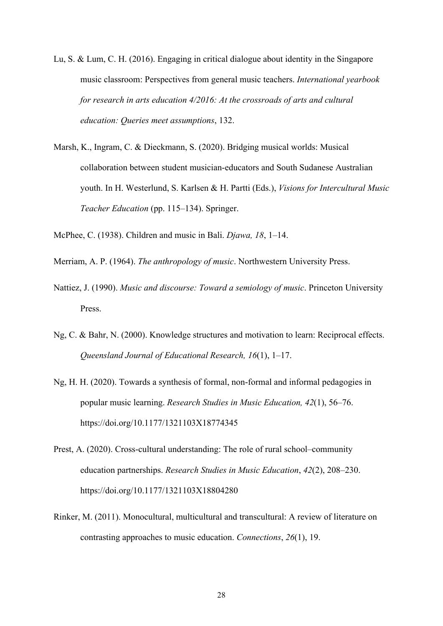- Lu, S. & Lum, C. H. (2016). Engaging in critical dialogue about identity in the Singapore music classroom: Perspectives from general music teachers. *International yearbook for research in arts education 4/2016: At the crossroads of arts and cultural education: Queries meet assumptions*, 132.
- Marsh, K., Ingram, C. & Dieckmann, S. (2020). Bridging musical worlds: Musical collaboration between student musician-educators and South Sudanese Australian youth. In H. Westerlund, S. Karlsen & H. Partti (Eds.), *Visions for Intercultural Music Teacher Education* (pp. 115–134). Springer.
- McPhee, C. (1938). Children and music in Bali. *Djawa, 18*, 1–14.
- Merriam, A. P. (1964). *The anthropology of music*. Northwestern University Press.
- Nattiez, J. (1990). *Music and discourse: Toward a semiology of music*. Princeton University Press.
- Ng, C. & Bahr, N. (2000). Knowledge structures and motivation to learn: Reciprocal effects. *Queensland Journal of Educational Research, 16*(1), 1–17.
- Ng, H. H. (2020). Towards a synthesis of formal, non-formal and informal pedagogies in popular music learning. *Research Studies in Music Education, 42*(1), 56–76. https://doi.org/10.1177/1321103X18774345
- Prest, A. (2020). Cross-cultural understanding: The role of rural school–community education partnerships. *Research Studies in Music Education*, *42*(2), 208–230. https://doi.org/10.1177/1321103X18804280
- Rinker, M. (2011). Monocultural, multicultural and transcultural: A review of literature on contrasting approaches to music education. *Connections*, *26*(1), 19.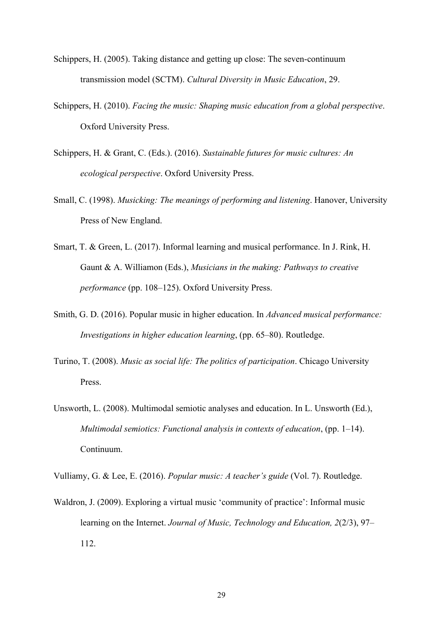- Schippers, H. (2005). Taking distance and getting up close: The seven-continuum transmission model (SCTM). *Cultural Diversity in Music Education*, 29.
- Schippers, H. (2010). *Facing the music: Shaping music education from a global perspective*. Oxford University Press.
- Schippers, H. & Grant, C. (Eds.). (2016). *Sustainable futures for music cultures: An ecological perspective*. Oxford University Press.
- Small, C. (1998). *Musicking: The meanings of performing and listening*. Hanover, University Press of New England.
- Smart, T. & Green, L. (2017). Informal learning and musical performance. In J. Rink, H. Gaunt & A. Williamon (Eds.), *Musicians in the making: Pathways to creative performance* (pp. 108–125). Oxford University Press.
- Smith, G. D. (2016). Popular music in higher education. In *Advanced musical performance: Investigations in higher education learning*, (pp. 65–80). Routledge.
- Turino, T. (2008). *Music as social life: The politics of participation*. Chicago University Press.
- Unsworth, L. (2008). Multimodal semiotic analyses and education. In L. Unsworth (Ed.), *Multimodal semiotics: Functional analysis in contexts of education*, (pp. 1–14). Continuum.

Vulliamy, G. & Lee, E. (2016). *Popular music: A teacher's guide* (Vol. 7). Routledge.

Waldron, J. (2009). Exploring a virtual music 'community of practice': Informal music learning on the Internet. *Journal of Music, Technology and Education, 2*(2/3), 97– 112.